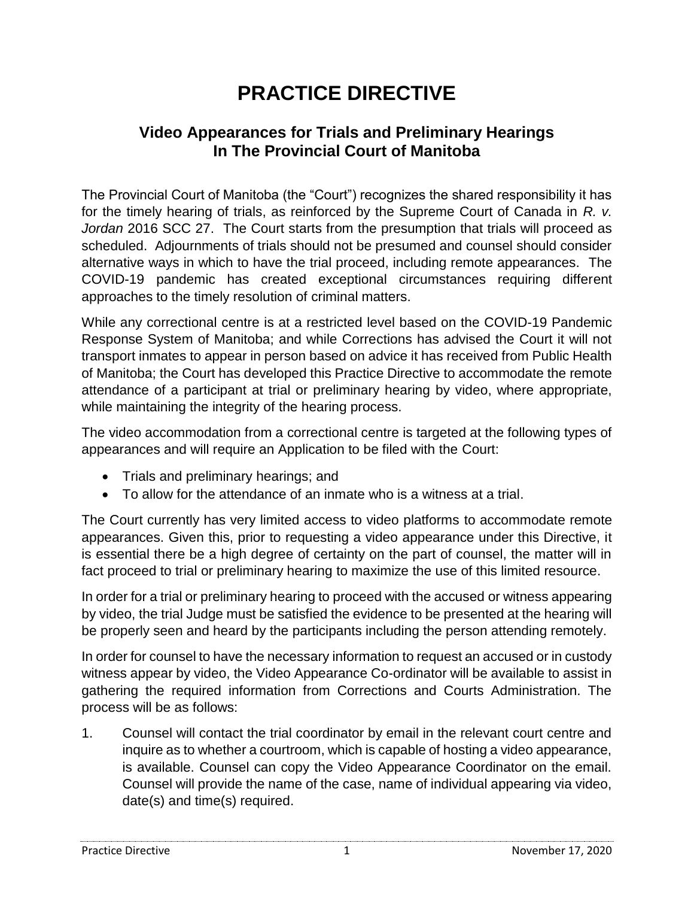## **PRACTICE DIRECTIVE**

## **Video Appearances for Trials and Preliminary Hearings In The Provincial Court of Manitoba**

The Provincial Court of Manitoba (the "Court") recognizes the shared responsibility it has for the timely hearing of trials, as reinforced by the Supreme Court of Canada in *R. v. Jordan* 2016 SCC 27. The Court starts from the presumption that trials will proceed as scheduled. Adjournments of trials should not be presumed and counsel should consider alternative ways in which to have the trial proceed, including remote appearances. The COVID-19 pandemic has created exceptional circumstances requiring different approaches to the timely resolution of criminal matters.

While any correctional centre is at a restricted level based on the COVID-19 Pandemic Response System of Manitoba; and while Corrections has advised the Court it will not transport inmates to appear in person based on advice it has received from Public Health of Manitoba; the Court has developed this Practice Directive to accommodate the remote attendance of a participant at trial or preliminary hearing by video, where appropriate, while maintaining the integrity of the hearing process.

The video accommodation from a correctional centre is targeted at the following types of appearances and will require an Application to be filed with the Court:

- Trials and preliminary hearings; and
- To allow for the attendance of an inmate who is a witness at a trial.

The Court currently has very limited access to video platforms to accommodate remote appearances. Given this, prior to requesting a video appearance under this Directive, it is essential there be a high degree of certainty on the part of counsel, the matter will in fact proceed to trial or preliminary hearing to maximize the use of this limited resource.

In order for a trial or preliminary hearing to proceed with the accused or witness appearing by video, the trial Judge must be satisfied the evidence to be presented at the hearing will be properly seen and heard by the participants including the person attending remotely.

In order for counsel to have the necessary information to request an accused or in custody witness appear by video, the Video Appearance Co-ordinator will be available to assist in gathering the required information from Corrections and Courts Administration. The process will be as follows:

1. Counsel will contact the trial coordinator by email in the relevant court centre and inquire as to whether a courtroom, which is capable of hosting a video appearance, is available. Counsel can copy the Video Appearance Coordinator on the email. Counsel will provide the name of the case, name of individual appearing via video, date(s) and time(s) required.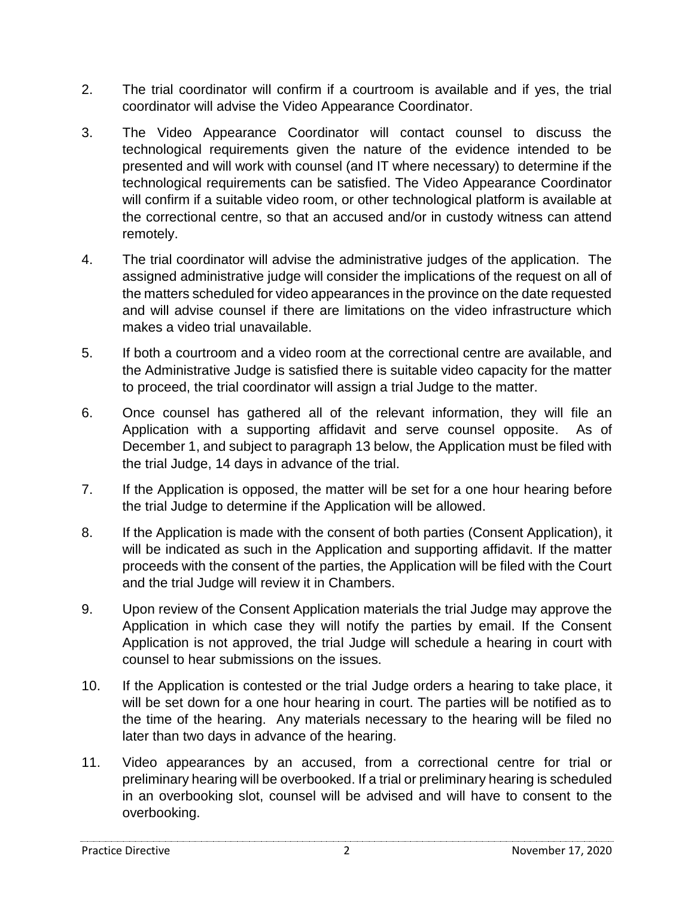- 2. The trial coordinator will confirm if a courtroom is available and if yes, the trial coordinator will advise the Video Appearance Coordinator.
- 3. The Video Appearance Coordinator will contact counsel to discuss the technological requirements given the nature of the evidence intended to be presented and will work with counsel (and IT where necessary) to determine if the technological requirements can be satisfied. The Video Appearance Coordinator will confirm if a suitable video room, or other technological platform is available at the correctional centre, so that an accused and/or in custody witness can attend remotely.
- 4. The trial coordinator will advise the administrative judges of the application. The assigned administrative judge will consider the implications of the request on all of the matters scheduled for video appearances in the province on the date requested and will advise counsel if there are limitations on the video infrastructure which makes a video trial unavailable.
- 5. If both a courtroom and a video room at the correctional centre are available, and the Administrative Judge is satisfied there is suitable video capacity for the matter to proceed, the trial coordinator will assign a trial Judge to the matter.
- 6. Once counsel has gathered all of the relevant information, they will file an Application with a supporting affidavit and serve counsel opposite. As of December 1, and subject to paragraph 13 below, the Application must be filed with the trial Judge, 14 days in advance of the trial.
- 7. If the Application is opposed, the matter will be set for a one hour hearing before the trial Judge to determine if the Application will be allowed.
- 8. If the Application is made with the consent of both parties (Consent Application), it will be indicated as such in the Application and supporting affidavit. If the matter proceeds with the consent of the parties, the Application will be filed with the Court and the trial Judge will review it in Chambers.
- 9. Upon review of the Consent Application materials the trial Judge may approve the Application in which case they will notify the parties by email. If the Consent Application is not approved, the trial Judge will schedule a hearing in court with counsel to hear submissions on the issues.
- 10. If the Application is contested or the trial Judge orders a hearing to take place, it will be set down for a one hour hearing in court. The parties will be notified as to the time of the hearing. Any materials necessary to the hearing will be filed no later than two days in advance of the hearing.
- 11. Video appearances by an accused, from a correctional centre for trial or preliminary hearing will be overbooked. If a trial or preliminary hearing is scheduled in an overbooking slot, counsel will be advised and will have to consent to the overbooking.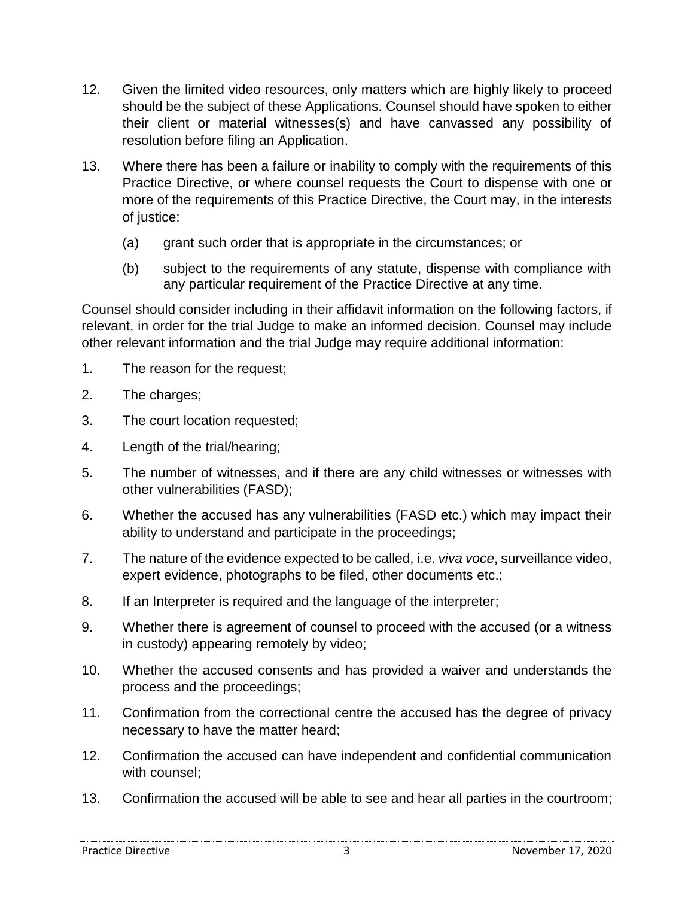- 12. Given the limited video resources, only matters which are highly likely to proceed should be the subject of these Applications. Counsel should have spoken to either their client or material witnesses(s) and have canvassed any possibility of resolution before filing an Application.
- 13. Where there has been a failure or inability to comply with the requirements of this Practice Directive, or where counsel requests the Court to dispense with one or more of the requirements of this Practice Directive, the Court may, in the interests of justice:
	- (a) grant such order that is appropriate in the circumstances; or
	- (b) subject to the requirements of any statute, dispense with compliance with any particular requirement of the Practice Directive at any time.

Counsel should consider including in their affidavit information on the following factors, if relevant, in order for the trial Judge to make an informed decision. Counsel may include other relevant information and the trial Judge may require additional information:

- 1. The reason for the request;
- 2. The charges;
- 3. The court location requested;
- 4. Length of the trial/hearing;
- 5. The number of witnesses, and if there are any child witnesses or witnesses with other vulnerabilities (FASD);
- 6. Whether the accused has any vulnerabilities (FASD etc.) which may impact their ability to understand and participate in the proceedings;
- 7. The nature of the evidence expected to be called, i.e. *viva voce*, surveillance video, expert evidence, photographs to be filed, other documents etc.;
- 8. If an Interpreter is required and the language of the interpreter;
- 9. Whether there is agreement of counsel to proceed with the accused (or a witness in custody) appearing remotely by video;
- 10. Whether the accused consents and has provided a waiver and understands the process and the proceedings;
- 11. Confirmation from the correctional centre the accused has the degree of privacy necessary to have the matter heard;
- 12. Confirmation the accused can have independent and confidential communication with counsel;
- 13. Confirmation the accused will be able to see and hear all parties in the courtroom;